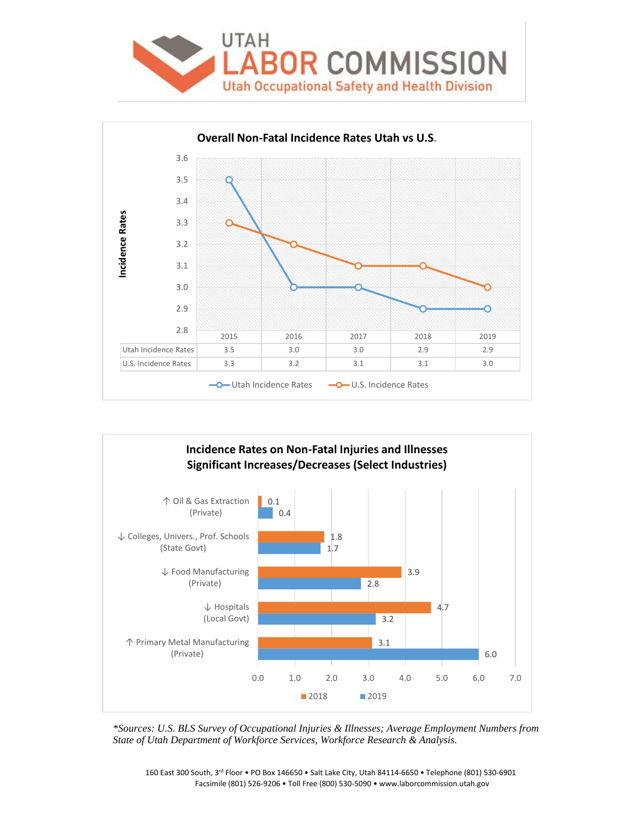





*\*Sources: U.S. BLS Survey of Occupational Injuries & Illnesses; Average Employment Numbers from State of Utah Department of Workforce Services, Workforce Research & Analysis.*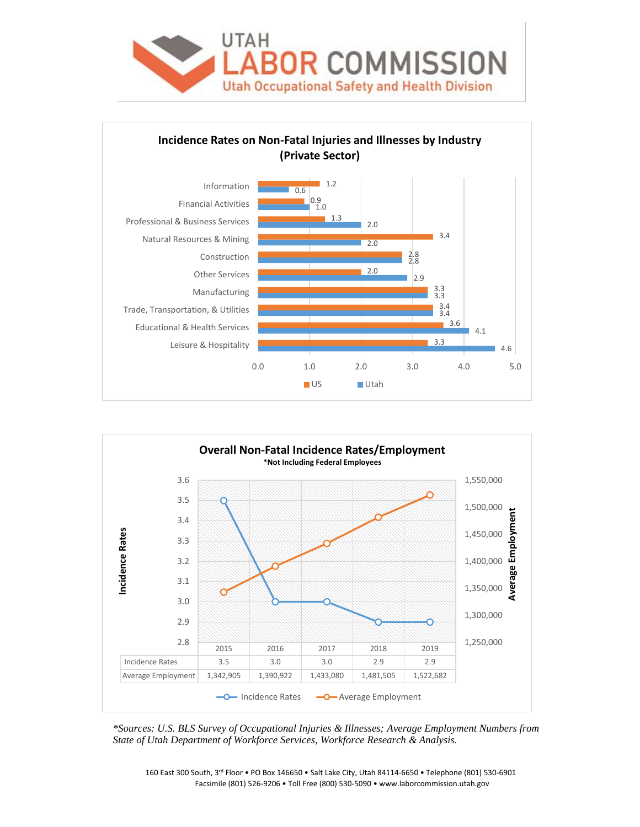





*\*Sources: U.S. BLS Survey of Occupational Injuries & Illnesses; Average Employment Numbers from State of Utah Department of Workforce Services, Workforce Research & Analysis.*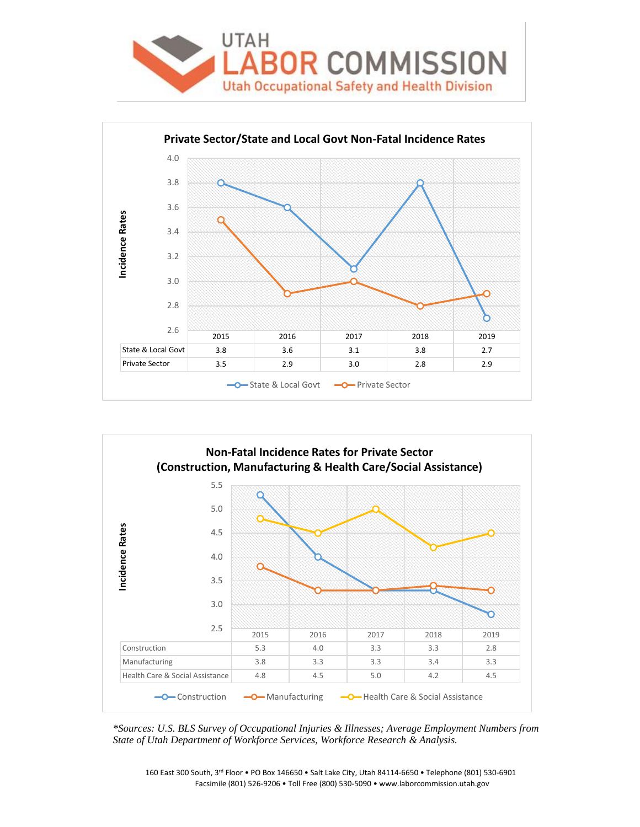





*\*Sources: U.S. BLS Survey of Occupational Injuries & Illnesses; Average Employment Numbers from State of Utah Department of Workforce Services, Workforce Research & Analysis.*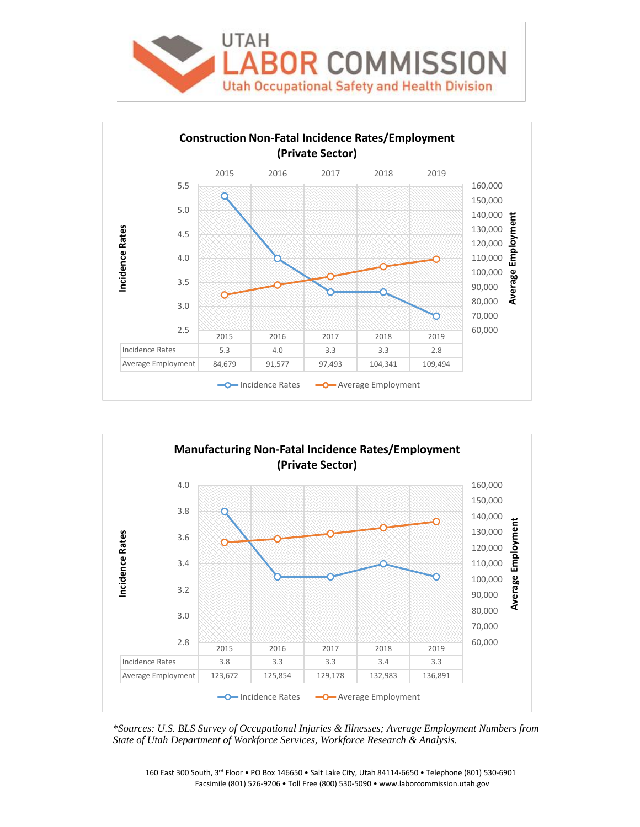





*\*Sources: U.S. BLS Survey of Occupational Injuries & Illnesses; Average Employment Numbers from State of Utah Department of Workforce Services, Workforce Research & Analysis.*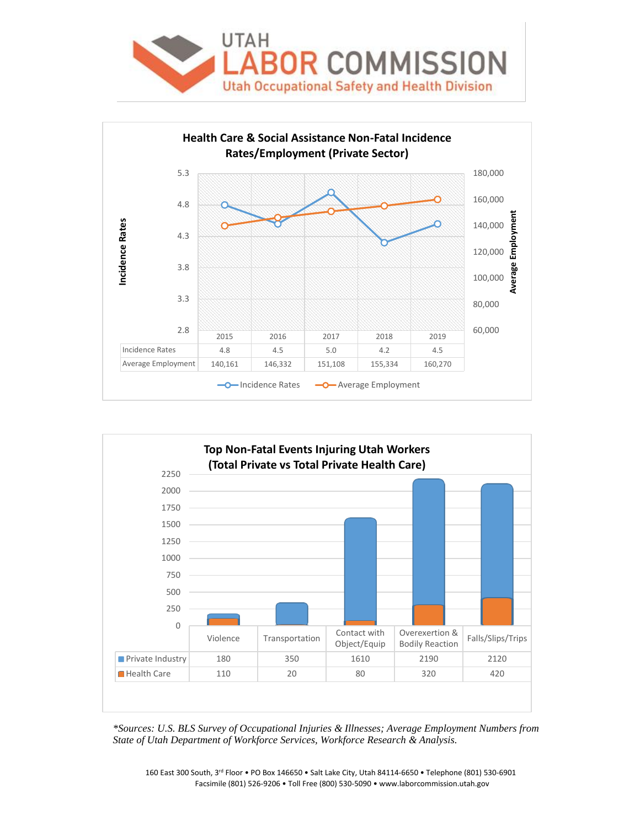





*\*Sources: U.S. BLS Survey of Occupational Injuries & Illnesses; Average Employment Numbers from State of Utah Department of Workforce Services, Workforce Research & Analysis.*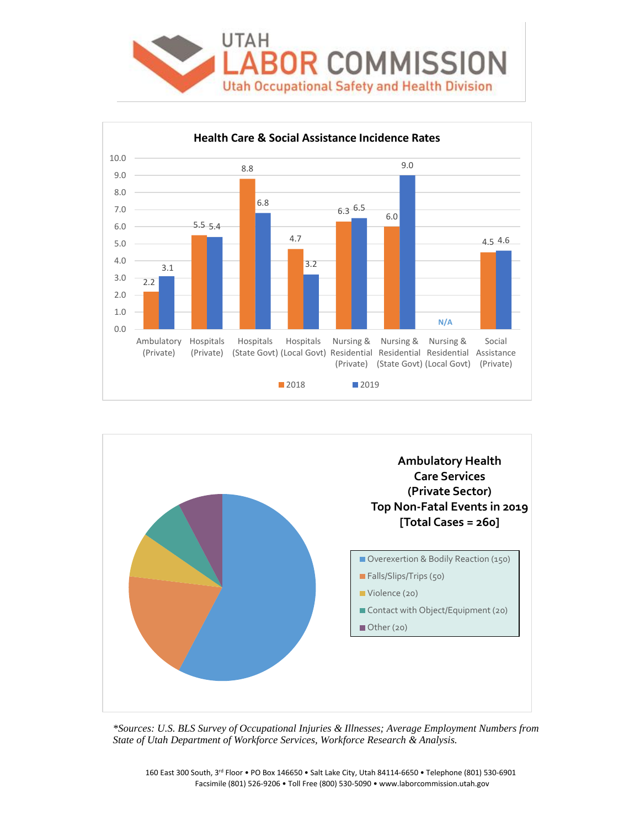





*\*Sources: U.S. BLS Survey of Occupational Injuries & Illnesses; Average Employment Numbers from State of Utah Department of Workforce Services, Workforce Research & Analysis.*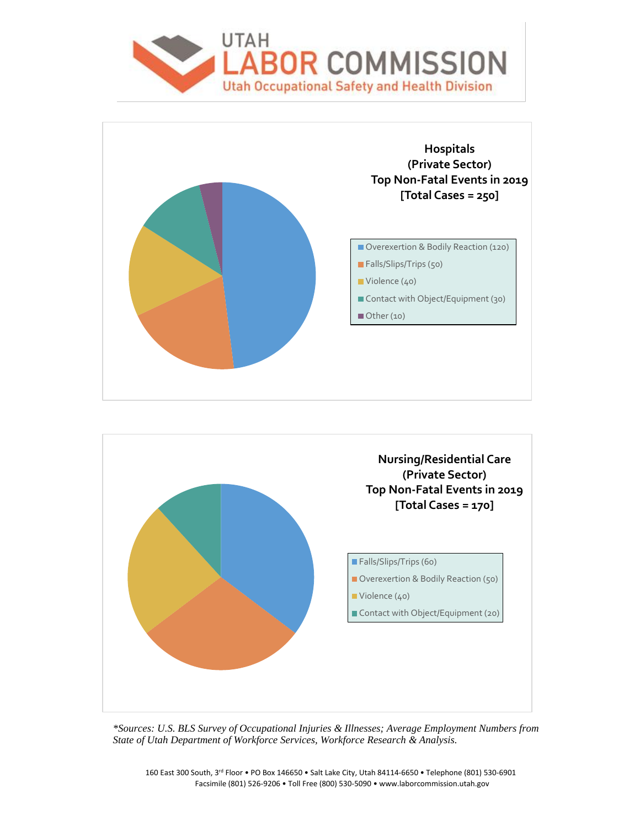





*\*Sources: U.S. BLS Survey of Occupational Injuries & Illnesses; Average Employment Numbers from State of Utah Department of Workforce Services, Workforce Research & Analysis.*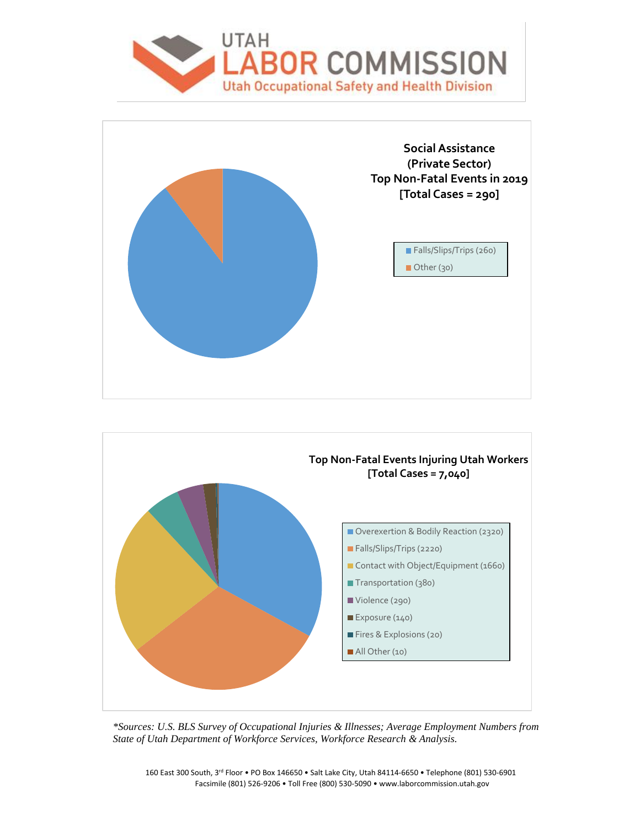





*\*Sources: U.S. BLS Survey of Occupational Injuries & Illnesses; Average Employment Numbers from State of Utah Department of Workforce Services, Workforce Research & Analysis.*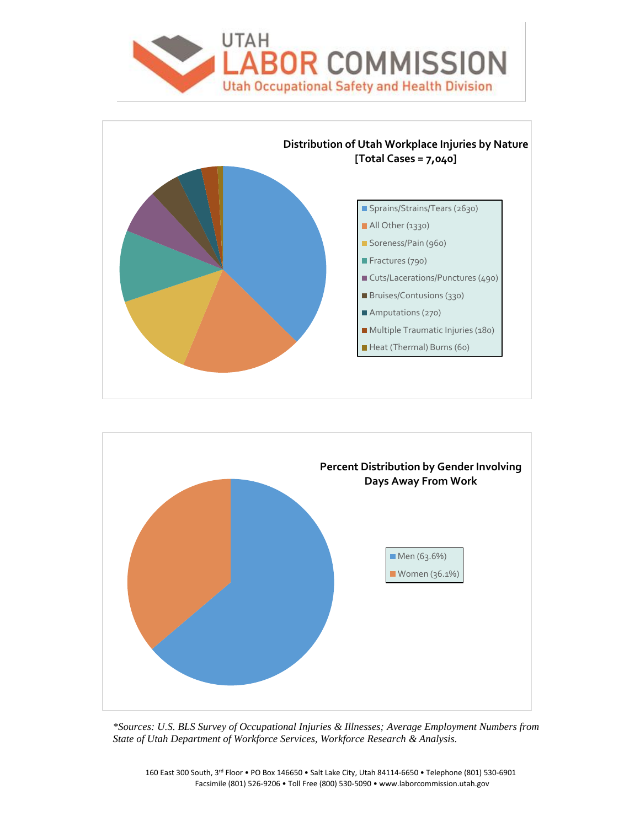





*\*Sources: U.S. BLS Survey of Occupational Injuries & Illnesses; Average Employment Numbers from State of Utah Department of Workforce Services, Workforce Research & Analysis.*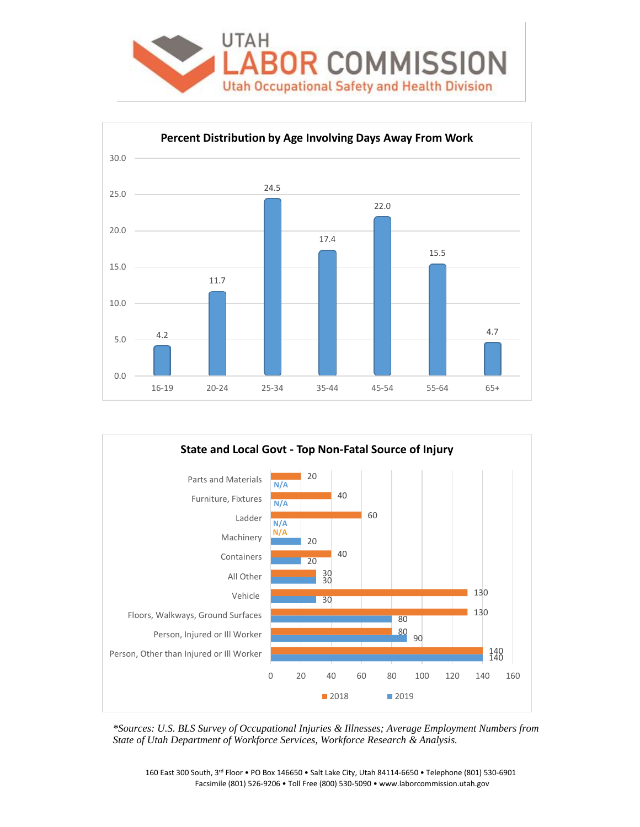





*\*Sources: U.S. BLS Survey of Occupational Injuries & Illnesses; Average Employment Numbers from State of Utah Department of Workforce Services, Workforce Research & Analysis.*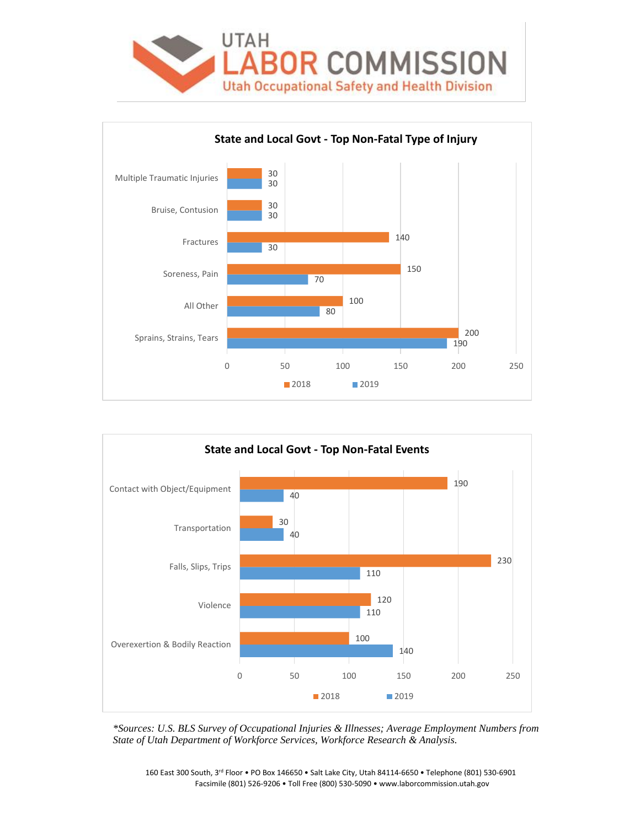





*\*Sources: U.S. BLS Survey of Occupational Injuries & Illnesses; Average Employment Numbers from State of Utah Department of Workforce Services, Workforce Research & Analysis.*